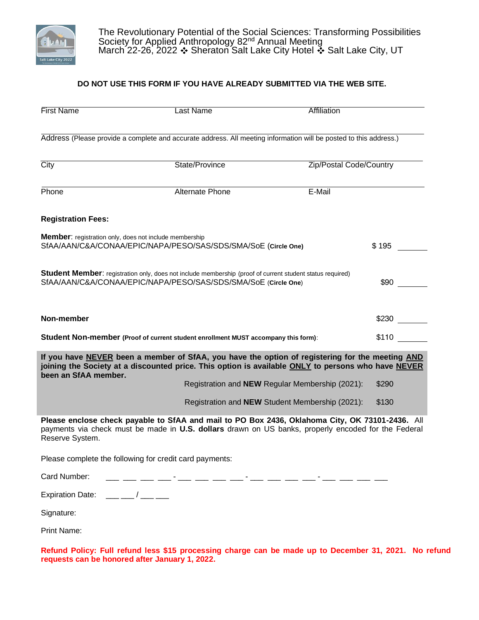

### **DO NOT USE THIS FORM IF YOU HAVE ALREADY SUBMITTED VIA THE WEB SITE.**

| <b>First Name</b>                                                                                                                                                           | Last Name                                                                                                         | Affiliation                                                                                                                                                                                            |  |  |  |  |  |
|-----------------------------------------------------------------------------------------------------------------------------------------------------------------------------|-------------------------------------------------------------------------------------------------------------------|--------------------------------------------------------------------------------------------------------------------------------------------------------------------------------------------------------|--|--|--|--|--|
|                                                                                                                                                                             | Address (Please provide a complete and accurate address. All meeting information will be posted to this address.) |                                                                                                                                                                                                        |  |  |  |  |  |
| $\overline{City}$                                                                                                                                                           | State/Province<br>Zip/Postal Code/Country                                                                         |                                                                                                                                                                                                        |  |  |  |  |  |
| Phone                                                                                                                                                                       | Alternate Phone                                                                                                   | E-Mail                                                                                                                                                                                                 |  |  |  |  |  |
| <b>Registration Fees:</b>                                                                                                                                                   |                                                                                                                   |                                                                                                                                                                                                        |  |  |  |  |  |
| Member: registration only, does not include membership                                                                                                                      | SfAA/AAN/C&A/CONAA/EPIC/NAPA/PESO/SAS/SDS/SMA/SoE (Circle One)                                                    | \$195                                                                                                                                                                                                  |  |  |  |  |  |
| Student Member: registration only, does not include membership (proof of current student status required)<br>SfAA/AAN/C&A/CONAA/EPIC/NAPA/PESO/SAS/SDS/SMA/SoE (Circle One) |                                                                                                                   |                                                                                                                                                                                                        |  |  |  |  |  |
| Non-member                                                                                                                                                                  |                                                                                                                   | \$230                                                                                                                                                                                                  |  |  |  |  |  |
| \$110<br>Student Non-member (Proof of current student enrollment MUST accompany this form):                                                                                 |                                                                                                                   |                                                                                                                                                                                                        |  |  |  |  |  |
| been an SfAA member.                                                                                                                                                        |                                                                                                                   | If you have NEVER been a member of SfAA, you have the option of registering for the meeting AND<br>joining the Society at a discounted price. This option is available ONLY to persons who have NEVER  |  |  |  |  |  |
|                                                                                                                                                                             |                                                                                                                   | Registration and <b>NEW</b> Regular Membership (2021):<br>\$290                                                                                                                                        |  |  |  |  |  |
|                                                                                                                                                                             |                                                                                                                   | Registration and NEW Student Membership (2021):<br>\$130                                                                                                                                               |  |  |  |  |  |
| Reserve System.                                                                                                                                                             |                                                                                                                   | Please enclose check payable to SfAA and mail to PO Box 2436, Oklahoma City, OK 73101-2436. All<br>payments via check must be made in U.S. dollars drawn on US banks, properly encoded for the Federal |  |  |  |  |  |
|                                                                                                                                                                             | Please complete the following for credit card payments:                                                           |                                                                                                                                                                                                        |  |  |  |  |  |
| Card Number:                                                                                                                                                                |                                                                                                                   |                                                                                                                                                                                                        |  |  |  |  |  |
| <b>Expiration Date:</b>                                                                                                                                                     | $\overline{1}$                                                                                                    |                                                                                                                                                                                                        |  |  |  |  |  |

Signature:

Print Name:

**Refund Policy: Full refund less \$15 processing charge can be made up to December 31, 2021. No refund requests can be honored after January 1, 2022.**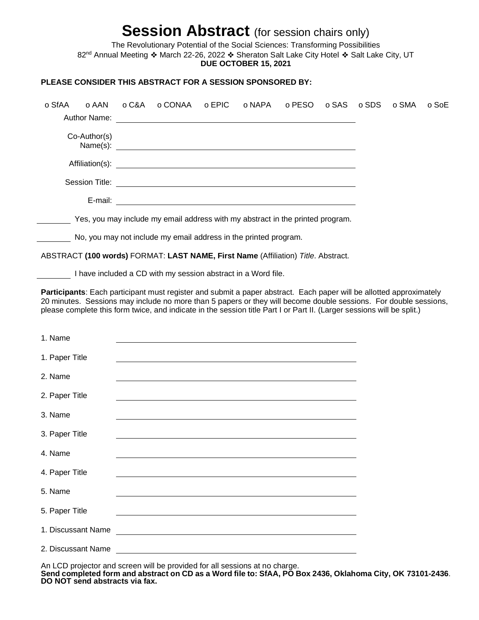# **Session Abstract** (for session chairs only)

The Revolutionary Potential of the Social Sciences: Transforming Possibilities 82<sup>nd</sup> Annual Meeting \* March 22-26, 2022 \* Sheraton Salt Lake City Hotel \* Salt Lake City, UT **DUE OCTOBER 15, 2021**

#### **PLEASE CONSIDER THIS ABSTRACT FOR A SESSION SPONSORED BY:**

| o SfAA             | o AAN        | o C&A | o CONAA                                                                                                                                                                                                                                                                                                                                                           | o EPIC | o NAPA | o PESO | o SAS | o SDS | o SMA | o SoE |
|--------------------|--------------|-------|-------------------------------------------------------------------------------------------------------------------------------------------------------------------------------------------------------------------------------------------------------------------------------------------------------------------------------------------------------------------|--------|--------|--------|-------|-------|-------|-------|
|                    |              |       |                                                                                                                                                                                                                                                                                                                                                                   |        |        |        |       |       |       |       |
|                    | Co-Author(s) |       |                                                                                                                                                                                                                                                                                                                                                                   |        |        |        |       |       |       |       |
|                    |              |       |                                                                                                                                                                                                                                                                                                                                                                   |        |        |        |       |       |       |       |
|                    |              |       |                                                                                                                                                                                                                                                                                                                                                                   |        |        |        |       |       |       |       |
|                    |              |       |                                                                                                                                                                                                                                                                                                                                                                   |        |        |        |       |       |       |       |
|                    |              |       | Yes, you may include my email address with my abstract in the printed program.                                                                                                                                                                                                                                                                                    |        |        |        |       |       |       |       |
|                    |              |       | No, you may not include my email address in the printed program.                                                                                                                                                                                                                                                                                                  |        |        |        |       |       |       |       |
|                    |              |       | ABSTRACT (100 words) FORMAT: LAST NAME, First Name (Affiliation) Title. Abstract.                                                                                                                                                                                                                                                                                 |        |        |        |       |       |       |       |
|                    |              |       | I have included a CD with my session abstract in a Word file.                                                                                                                                                                                                                                                                                                     |        |        |        |       |       |       |       |
|                    |              |       | Participants: Each participant must register and submit a paper abstract. Each paper will be allotted approximately<br>20 minutes. Sessions may include no more than 5 papers or they will become double sessions. For double sessions,<br>please complete this form twice, and indicate in the session title Part I or Part II. (Larger sessions will be split.) |        |        |        |       |       |       |       |
| 1. Name            |              |       | <u> 1989 - Johann Stoff, amerikansk politiker (d. 1989)</u>                                                                                                                                                                                                                                                                                                       |        |        |        |       |       |       |       |
| 1. Paper Title     |              |       |                                                                                                                                                                                                                                                                                                                                                                   |        |        |        |       |       |       |       |
| 2. Name            |              |       | <u> 1989 - Johann Stoff, deutscher Stoffen und der Stoffen und der Stoffen und der Stoffen und der Stoffen und der</u>                                                                                                                                                                                                                                            |        |        |        |       |       |       |       |
| 2. Paper Title     |              |       | and the control of the control of the control of the control of the control of the control of the control of the                                                                                                                                                                                                                                                  |        |        |        |       |       |       |       |
| 3. Name            |              |       | <u> 1989 - Andrea Stadt Britain, amerikansk politik (* 1958)</u>                                                                                                                                                                                                                                                                                                  |        |        |        |       |       |       |       |
| 3. Paper Title     |              |       | and the control of the control of the control of the control of the control of the control of the control of the                                                                                                                                                                                                                                                  |        |        |        |       |       |       |       |
| 4. Name            |              |       |                                                                                                                                                                                                                                                                                                                                                                   |        |        |        |       |       |       |       |
| 4. Paper Title     |              |       |                                                                                                                                                                                                                                                                                                                                                                   |        |        |        |       |       |       |       |
| 5. Name            |              |       |                                                                                                                                                                                                                                                                                                                                                                   |        |        |        |       |       |       |       |
| 5. Paper Title     |              |       |                                                                                                                                                                                                                                                                                                                                                                   |        |        |        |       |       |       |       |
| 1. Discussant Name |              |       |                                                                                                                                                                                                                                                                                                                                                                   |        |        |        |       |       |       |       |
| 2. Discussant Name |              |       |                                                                                                                                                                                                                                                                                                                                                                   |        |        |        |       |       |       |       |

An LCD projector and screen will be provided for all sessions at no charge.

**Send completed form and abstract on CD as a Word file to: SfAA, PO Box 2436, Oklahoma City, OK 73101-2436**. **DO NOT send abstracts via fax.**